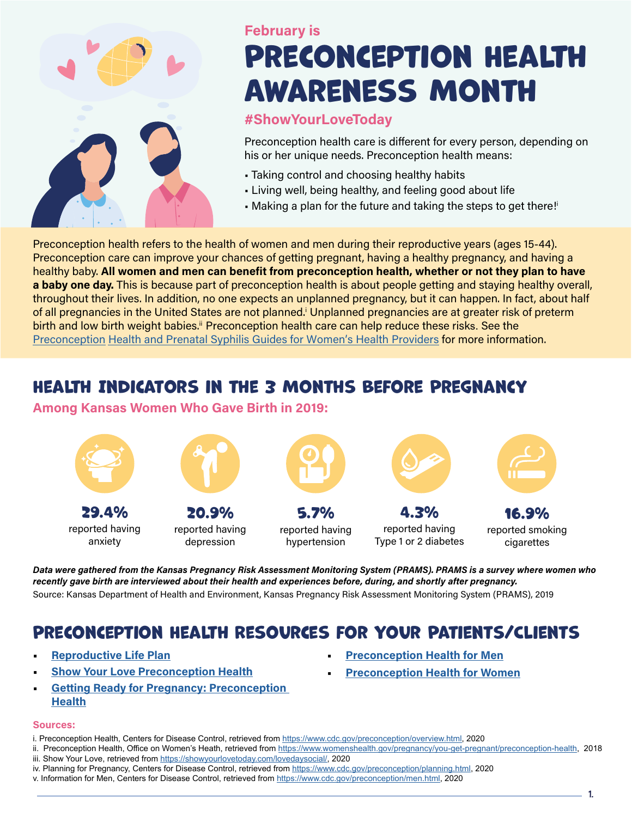

# Preconception Health Awareness Month February is

### #ShowYourLoveToday

Preconception health care is different for every person, depending on his or her unique needs. Preconception health means:

- Taking control and choosing healthy habits
- Living well, being healthy, and feeling good about life
- Making a plan for the future and taking the steps to get there!

Preconception health refers to the health of women and men during their reproductive years (ages 15-44). Preconception care can improve your chances of getting pregnant, having a healthy pregnancy, and having a healthy baby. All women and men can benefit from preconception health, whether or not they plan to have a baby one day. This is because part of preconception health is about people getting and staying healthy overall, throughout their lives. In addition, no one expects an unplanned pregnancy, but it can happen. In fact, about half of all pregnancies in the United States are not planned.<sup>i</sup> Unplanned pregnancies are at greater risk of preterm birth and low birth weight babies.<sup>ii</sup> Preconception health care can help reduce these risks. See the Preconception Health [and Prenatal Syphilis Guides for Women's Health Providers](https://www.kdhe.ks.gov/DocumentCenter/View/2597/Prenatal-Syphilis---Preconception-Health-Guide-PDF) for more information.

## Health Indicators in the 3 Months Before Pregnancy

### Among Kansas Women Who Gave Birth in 2019:



Data were gathered from the Kansas Pregnancy Risk Assessment Monitoring System (PRAMS). PRAMS is a survey where women who recently gave birth are interviewed about their health and experiences before, during, and shortly after pregnancy. Source: Kansas Department of Health and Environment, Kansas Pregnancy Risk Assessment Monitoring System (PRAMS), 2019

## Preconception Health Resources for Your Patients/Clients

- [Reproductive Life Plan](https://www.kdhe.ks.gov/DocumentCenter/View/15437/Reproductive-Life-Plan-PDF)
- **[Show Your Love Preconception Health](https://showyourlovetoday.com/)**
- [Getting Ready for Pregnancy: Preconception](https://www.marchofdimes.org/pregnancy/getting-ready-for-pregnancy-preconception-health.aspx) **[Health](https://www.marchofdimes.org/pregnancy/getting-ready-for-pregnancy-preconception-health.aspx)**

### Sources:

- i. Preconception Health, Centers for Disease Control, retrieved from [https://www.cdc.gov/preconception/overview.html,](https://www.cdc.gov/preconception/overview.html) 2020
- ii. Preconception Health, Office on Women's Heath, retrieved from <https://www.womenshealth.gov/pregnancy/you-get-pregnant/preconception-health>, 2018
- iii. Show Your Love, retrieved from<https://showyourlovetoday.com/lovedaysocial/>, 2020
- iv. Planning for Pregnancy, Centers for Disease Control, retrieved from<https://www.cdc.gov/preconception/planning.html>, 2020
- v. Information for Men, Centers for Disease Control, retrieved from [https://www.cdc.gov/preconception/men.html,](https://www.cdc.gov/preconception/men.html) 2020
- [Preconception Health for Men](http://cdc.gov/preconception/men.html)
- **[Preconception Health for Women](http://cdc.gov/preconception/women.html)**